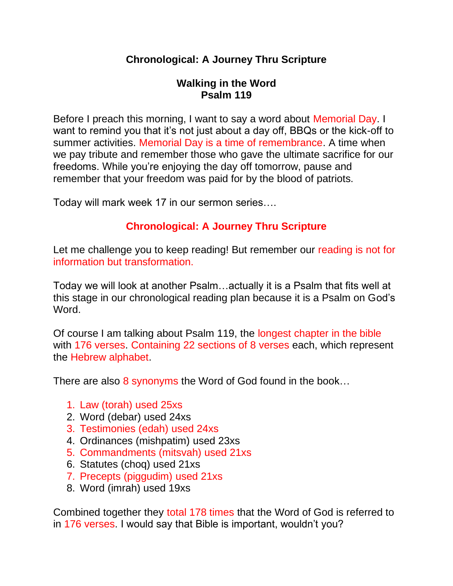# **Chronological: A Journey Thru Scripture**

## **Walking in the Word Psalm 119**

Before I preach this morning, I want to say a word about Memorial Day. I want to remind you that it's not just about a day off, BBQs or the kick-off to summer activities. Memorial Day is a time of remembrance. A time when we pay tribute and remember those who gave the ultimate sacrifice for our freedoms. While you're enjoying the day off tomorrow, pause and remember that your freedom was paid for by the blood of patriots.

Today will mark week 17 in our sermon series….

# **Chronological: A Journey Thru Scripture**

Let me challenge you to keep reading! But remember our reading is not for information but transformation.

Today we will look at another Psalm…actually it is a Psalm that fits well at this stage in our chronological reading plan because it is a Psalm on God's Word.

Of course I am talking about Psalm 119, the longest chapter in the bible with 176 verses. Containing 22 sections of 8 verses each, which represent the Hebrew alphabet.

There are also 8 synonyms the Word of God found in the book...

- 1. Law (torah) used 25xs
- 2. Word (debar) used 24xs
- 3. Testimonies (edah) used 24xs
- 4. Ordinances (mishpatim) used 23xs
- 5. Commandments (mitsvah) used 21xs
- 6. Statutes (choq) used 21xs
- 7. Precepts (piggudim) used 21xs
- 8. Word (imrah) used 19xs

Combined together they total 178 times that the Word of God is referred to in 176 verses. I would say that Bible is important, wouldn't you?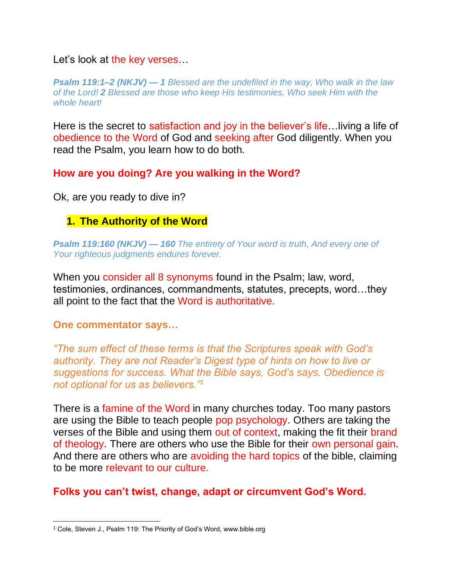Let's look at the key verses...

*Psalm 119:1–2 (NKJV) — 1 Blessed are the undefiled in the way, Who walk in the law of the Lord! 2 Blessed are those who keep His testimonies, Who seek Him with the whole heart!*

Here is the secret to satisfaction and joy in the believer's life…living a life of obedience to the Word of God and seeking after God diligently. When you read the Psalm, you learn how to do both.

**How are you doing? Are you walking in the Word?**

Ok, are you ready to dive in?

# **1. The Authority of the Word**

*Psalm 119:160 (NKJV) — 160 The entirety of Your word is truth, And every one of Your righteous judgments endures forever.*

When you consider all 8 synonyms found in the Psalm; law, word, testimonies, ordinances, commandments, statutes, precepts, word…they all point to the fact that the Word is authoritative.

#### **One commentator says…**

*"The sum effect of these terms is that the Scriptures speak with God's authority. They are not Reader's Digest type of hints on how to live or suggestions for success. What the Bible says, God's says. Obedience is not optional for us as believers."<sup>1</sup>*

There is a famine of the Word in many churches today. Too many pastors are using the Bible to teach people pop psychology. Others are taking the verses of the Bible and using them out of context, making the fit their brand of theology. There are others who use the Bible for their own personal gain. And there are others who are avoiding the hard topics of the bible, claiming to be more relevant to our culture.

# **Folks you can't twist, change, adapt or circumvent God's Word.**

<sup>&</sup>lt;sup>1</sup> Cole, Steven J., Psalm 119: The Priority of God's Word, www.bible.org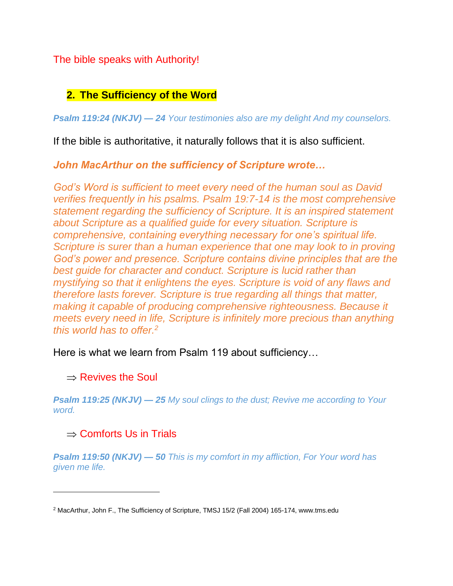The bible speaks with Authority!

# **2. The Sufficiency of the Word**

*Psalm 119:24 (NKJV) — 24 Your testimonies also are my delight And my counselors.*

If the bible is authoritative, it naturally follows that it is also sufficient.

*John MacArthur on the sufficiency of Scripture wrote…*

*God's Word is sufficient to meet every need of the human soul as David verifies frequently in his psalms. Psalm 19:7-14 is the most comprehensive statement regarding the sufficiency of Scripture. It is an inspired statement about Scripture as a qualified guide for every situation. Scripture is comprehensive, containing everything necessary for one's spiritual life. Scripture is surer than a human experience that one may look to in proving God's power and presence. Scripture contains divine principles that are the best guide for character and conduct. Scripture is lucid rather than mystifying so that it enlightens the eyes. Scripture is void of any flaws and therefore lasts forever. Scripture is true regarding all things that matter, making it capable of producing comprehensive righteousness. Because it meets every need in life, Scripture is infinitely more precious than anything this world has to offer.<sup>2</sup>*

Here is what we learn from Psalm 119 about sufficiency…

## $\Rightarrow$  Revives the Soul

*Psalm 119:25 (NKJV) — 25 My soul clings to the dust; Revive me according to Your word.*

# $\Rightarrow$  Comforts Us in Trials

*Psalm 119:50 (NKJV) — 50 This is my comfort in my affliction, For Your word has given me life.*

<sup>2</sup> MacArthur, John F., The Sufficiency of Scripture, TMSJ 15/2 (Fall 2004) 165-174, www.tms.edu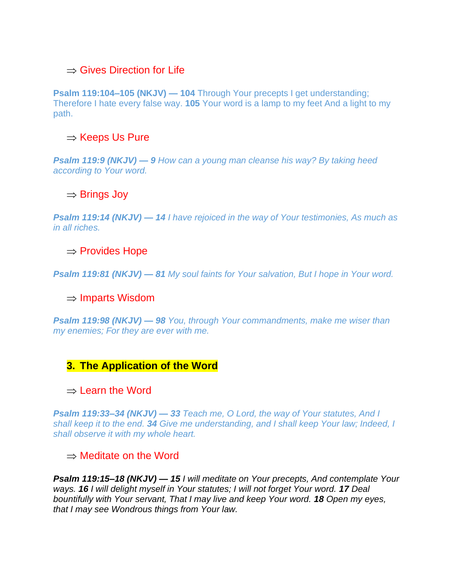### $\Rightarrow$  Gives Direction for Life

**Psalm 119:104–105 (NKJV) — 104** Through Your precepts I get understanding; Therefore I hate every false way. **105** Your word is a lamp to my feet And a light to my path.

### $\Rightarrow$  Keeps Us Pure

*Psalm 119:9 (NKJV) — 9 How can a young man cleanse his way? By taking heed according to Your word.*

#### $\Rightarrow$  Brings Joy

*Psalm 119:14 (NKJV) — 14 I have rejoiced in the way of Your testimonies, As much as in all riches.*

#### $\Rightarrow$  Provides Hope

*Psalm 119:81 (NKJV) — 81 My soul faints for Your salvation, But I hope in Your word.*

#### $\Rightarrow$  Imparts Wisdom

*Psalm 119:98 (NKJV) — 98 You, through Your commandments, make me wiser than my enemies; For they are ever with me.*

#### **3. The Application of the Word**

#### $\Rightarrow$  Learn the Word

*Psalm 119:33–34 (NKJV) — 33 Teach me, O Lord, the way of Your statutes, And I shall keep it to the end. 34 Give me understanding, and I shall keep Your law; Indeed, I shall observe it with my whole heart.*

#### $\Rightarrow$  Meditate on the Word

*Psalm 119:15–18 (NKJV) — 15 I will meditate on Your precepts, And contemplate Your ways. 16 I will delight myself in Your statutes; I will not forget Your word. 17 Deal bountifully with Your servant, That I may live and keep Your word. 18 Open my eyes, that I may see Wondrous things from Your law.*